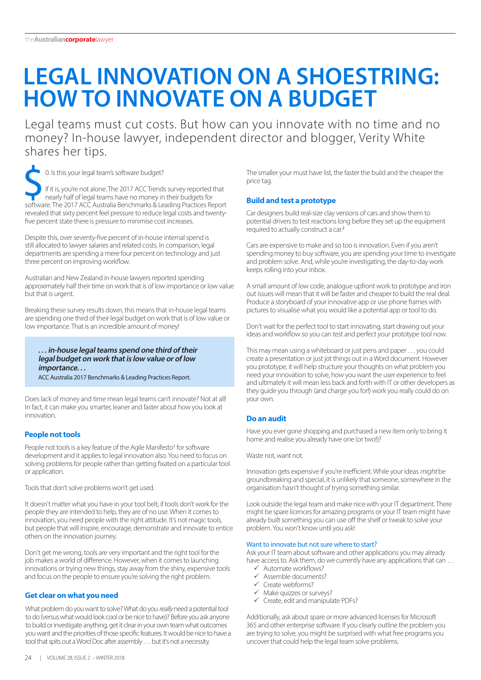# **LEGAL INNOVATION ON A SHOESTRING: HOW TO INNOVATE ON A BUDGET**

Legal teams must cut costs. But how can you innovate with no time and no money? In-house lawyer, independent director and blogger, Verity White shares her tips.

 $\bullet$  0. Is this your legal team's software budget? If it is, you're not alone. The 2017 ACC Trends survey reported that nearly half of legal teams have no money in their budgets for software. The 2017 ACC Australia Benchmarks & Leading Practices Report revealed that sixty percent feel pressure to reduce legal costs and twentyfive percent state there is pressure to minimise cost increases.

Despite this, over seventy-five percent of in-house internal spend is still allocated to lawyer salaries and related costs. In comparison, legal departments are spending a mere four percent on technology and just three percent on improving workflow.

Australian and New Zealand in-house lawyers reported spending approximately half their time on work that is of low importance or low value but that is urgent.

Breaking these survey results down, this means that in-house legal teams are spending one third of their legal budget on work that is of low value or low importance. That is an incredible amount of money!

## **. . . in-house legal teams spend one third of their legal budget on work that is low value or of low importance. . .**

ACC Australia 2017 Benchmarks & Leading Practices Report.

Does lack of money and time mean legal teams can't innovate? Not at all! In fact, it can make you smarter, leaner and faster about how you look at innovation.

## **People not tools**

People not tools is a key feature of the Agile Manifesto<sup>1</sup> for software development and it applies to legal innovation also. You need to focus on solving problems for people rather than getting fixated on a particular tool or application.

Tools that don't solve problems won't get used.

It doesn't matter what you have in your tool belt, if tools don't work for the people they are intended to help, they are of no use. When it comes to innovation, you need people with the right attitude. It's not magic tools, but people that will inspire, encourage, demonstrate and innovate to entice others on the innovation journey.

Don't get me wrong, tools are very important and the right tool for the job makes a world of difference. However, when it comes to launching innovations or trying new things, stay away from the shiny, expensive tools and focus on the people to ensure you're solving the right problem.

## **Get clear on what you need**

What problem do you want to solve? What do you really need a potential tool to do (versus what would look cool or be nice to have)? Before you ask anyone to build or investigate anything, get it clear in your own team what outcomes you want and the priorities of those specific features. It would be nice to have a tool that spits out a Word Doc after assembly … but it's not a necessity.

The smaller your must have list, the faster the build and the cheaper the price tag.

## **Build and test a prototype**

Car designers build real-size clay versions of cars and show them to potential drivers to test reactions long before they set up the equipment required to actually construct a car.<sup>2</sup>

Cars are expensive to make and so too is innovation. Even if you aren't spending money to buy software, you are spending your time to investigate and problem solve. And, while you're investigating, the day-to-day work keeps rolling into your inbox.

A small amount of low code, analogue upfront work to prototype and iron out issues will mean that it will be faster and cheaper to build the real deal. Produce a storyboard of your innovative app or use phone frames with pictures to visualise what you would like a potential app or tool to do.

Don't wait for the perfect tool to start innovating, start drawing out your ideas and workflow so you can test and perfect your prototype tool now.

This may mean using a whiteboard or just pens and paper … you could create a presentation or just jot things out in a Word document. However you prototype, it will help structure your thoughts on what problem you need your innovation to solve, how you want the user experience to feel and ultimately it will mean less back and forth with IT or other developers as they guide you through (and charge you for!) work you really could do on your own.

## **Do an audit**

Have you ever gone shopping and purchased a new item only to bring it home and realise you already have one (or two!)?

Waste not, want not.

Innovation gets expensive if you're inefficient. While your ideas might be groundbreaking and special, it is unlikely that someone, somewhere in the organisation hasn't thought of trying something similar.

Look outside the legal team and make nice with your IT department. There might be spare licences for amazing programs or your IT team might have already built something you can use off the shelf or tweak to solve your problem. You won't know until you ask!

## Want to innovate but not sure where to start?

Ask your IT team about software and other applications you may already have access to. Ask them, do we currently have any applications that can ...

- Automate workflows?
- $\checkmark$  Assemble documents?<br> $\checkmark$  Create webforms?
- Create webforms?
- $\checkmark$  Make quizzes or surveys?
- $\checkmark$  Create, edit and manipulate PDFs?

Additionally, ask about spare or more advanced licenses for Microsoft 365 and other enterprise software. If you clearly outline the problem you are trying to solve, you might be surprised with what free programs you uncover that could help the legal team solve problems.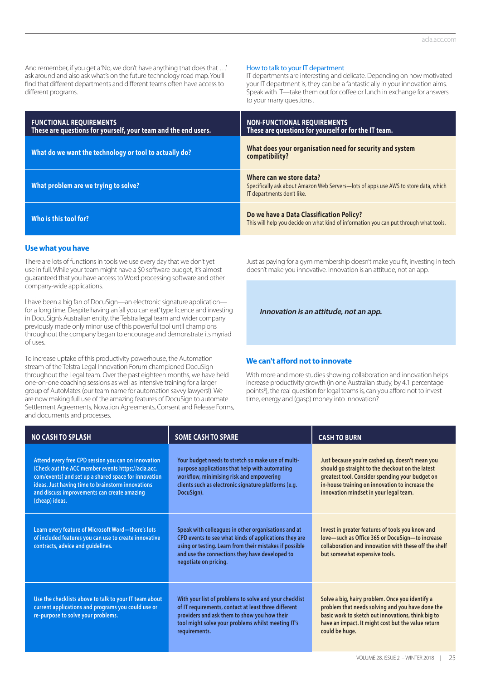And remember, if you get a 'No, we don't have anything that does that ...' ask around and also ask what's on the future technology road map. You'll find that different departments and different teams often have access to different programs.

#### How to talk to your IT department

IT departments are interesting and delicate. Depending on how motivated your IT department is, they can be a fantastic ally in your innovation aims. Speak with IT—take them out for coffee or lunch in exchange for answers to your many questions .

| <b>FUNCTIONAL REQUIREMENTS</b><br>These are questions for yourself, your team and the end users. | <b>NON-FUNCTIONAL REQUIREMENTS</b><br>These are questions for yourself or for the IT team.                                                    |
|--------------------------------------------------------------------------------------------------|-----------------------------------------------------------------------------------------------------------------------------------------------|
| What do we want the technology or tool to actually do?                                           | What does your organisation need for security and system<br>compatibility?                                                                    |
| What problem are we trying to solve?                                                             | Where can we store data?<br>Specifically ask about Amazon Web Servers-lots of apps use AWS to store data, which<br>IT departments don't like. |
| Who is this tool for?                                                                            | Do we have a Data Classification Policy?<br>This will help you decide on what kind of information you can put through what tools.             |

#### **Use what you have**

There are lots of functions in tools we use every day that we don't yet use in full. While your team might have a \$0 software budget, it's almost guaranteed that you have access to Word processing software and other company-wide applications.

I have been a big fan of DocuSign—an electronic signature application for a long time. Despite having an 'all you can eat' type licence and investing in DocuSign's Australian entity, the Telstra legal team and wider company previously made only minor use of this powerful tool until champions throughout the company began to encourage and demonstrate its myriad of uses.

To increase uptake of this productivity powerhouse, the Automation stream of the Telstra Legal Innovation Forum championed DocuSign throughout the Legal team. Over the past eighteen months, we have held one-on-one coaching sessions as well as intensive training for a larger group of AutoMates (our team name for automation savvy lawyers!). We are now making full use of the amazing features of DocuSign to automate Settlement Agreements, Novation Agreements, Consent and Release Forms, and documents and processes.

Just as paying for a gym membership doesn't make you fit, investing in tech doesn't make you innovative. Innovation is an attitude, not an app.

**Innovation is an attitude, not an app.**

#### **We can't afford not to innovate**

With more and more studies showing collaboration and innovation helps increase productivity growth (in one Australian study, by 4.1 percentage points<sup>3</sup>), the real question for legal teams is, can you afford not to invest time, energy and (gasp) money into innovation?

| <b>NO CASH TO SPLASH</b>                                                                                                                                                                                                                                                                | <b>SOME CASH TO SPARE</b>                                                                                                                                                                                                                          | <b>CASH TO BURN</b>                                                                                                                                                                                                                                 |  |  |
|-----------------------------------------------------------------------------------------------------------------------------------------------------------------------------------------------------------------------------------------------------------------------------------------|----------------------------------------------------------------------------------------------------------------------------------------------------------------------------------------------------------------------------------------------------|-----------------------------------------------------------------------------------------------------------------------------------------------------------------------------------------------------------------------------------------------------|--|--|
| Attend every free CPD session you can on innovation<br>(Check out the ACC member events https://acla.acc.<br>com/events) and set up a shared space for innovation<br>ideas. Just having time to brainstorm innovations<br>and discuss improvements can create amazing<br>(cheap) ideas. | Your budget needs to stretch so make use of multi-<br>purpose applications that help with automating<br>workflow, minimising risk and empowering<br>clients such as electronic signature platforms (e.g.<br>DocuSign).                             | Just because you're cashed up, doesn't mean you<br>should go straight to the checkout on the latest<br>greatest tool. Consider spending your budget on<br>in-house training on innovation to increase the<br>innovation mindset in your legal team. |  |  |
| Learn every feature of Microsoft Word-there's lots<br>of included features you can use to create innovative<br>contracts, advice and guidelines.                                                                                                                                        | Speak with colleagues in other organisations and at<br>CPD events to see what kinds of applications they are<br>using or testing. Learn from their mistakes if possible<br>and use the connections they have developed to<br>negotiate on pricing. | Invest in greater features of tools you know and<br>love-such as Office 365 or DocuSign-to increase<br>collaboration and innovation with these off the shelf<br>but somewhat expensive tools.                                                       |  |  |
| Use the checklists above to talk to your IT team about<br>current applications and programs you could use or<br>re-purpose to solve your problems.                                                                                                                                      | With your list of problems to solve and your checklist<br>of IT requirements, contact at least three different<br>providers and ask them to show you how their<br>tool might solve your problems whilst meeting IT's<br>requirements.              | Solve a big, hairy problem. Once you identify a<br>problem that needs solving and you have done the<br>basic work to sketch out innovations, think big to<br>have an impact. It might cost but the value return<br>could be huge.                   |  |  |